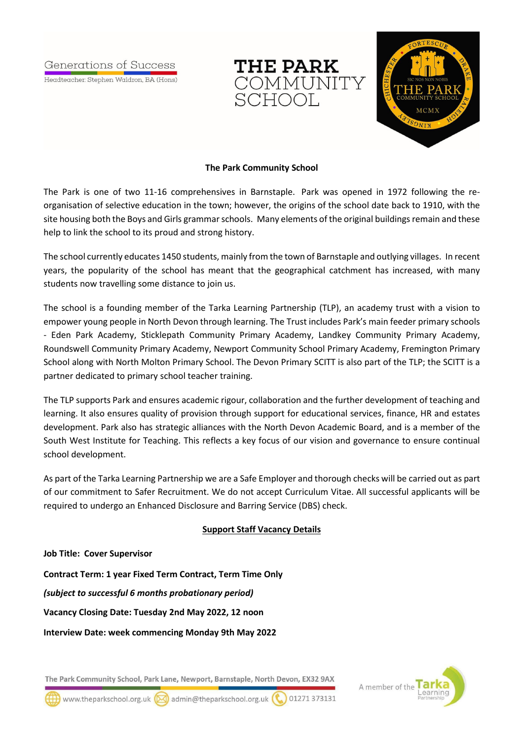Generations of Success

Headteacher: Stephen Waldron, BA (Hons)





### **The Park Community School**

The Park is one of two 11-16 comprehensives in Barnstaple. Park was opened in 1972 following the reorganisation of selective education in the town; however, the origins of the school date back to 1910, with the site housing both the Boys and Girls grammar schools. Many elements of the original buildings remain and these help to link the school to its proud and strong history.

The school currently educates 1450 students, mainly from the town of Barnstaple and outlying villages. In recent years, the popularity of the school has meant that the geographical catchment has increased, with many students now travelling some distance to join us.

The school is a founding member of the Tarka Learning Partnership (TLP), an academy trust with a vision to empower young people in North Devon through learning. The Trust includes Park's main feeder primary schools - Eden Park Academy, Sticklepath Community Primary Academy, Landkey Community Primary Academy, Roundswell Community Primary Academy, Newport Community School Primary Academy, Fremington Primary School along with North Molton Primary School. The Devon Primary SCITT is also part of the TLP; the SCITT is a partner dedicated to primary school teacher training.

The TLP supports Park and ensures academic rigour, collaboration and the further development of teaching and learning. It also ensures quality of provision through support for educational services, finance, HR and estates development. Park also has strategic alliances with the North Devon Academic Board, and is a member of the South West Institute for Teaching. This reflects a key focus of our vision and governance to ensure continual school development.

As part of the Tarka Learning Partnership we are a Safe Employer and thorough checks will be carried out as part of our commitment to Safer Recruitment. We do not accept Curriculum Vitae. All successful applicants will be required to undergo an Enhanced Disclosure and Barring Service (DBS) check.

# **Support Staff Vacancy Details**

#### **Job Title: Cover Supervisor**

**Contract Term: 1 year Fixed Term Contract, Term Time Only**

*(subject to successful 6 months probationary period)*

**Vacancy Closing Date: Tuesday 2nd May 2022, 12 noon**

**Interview Date: week commencing Monday 9th May 2022**

The Park Community School, Park Lane, Newport, Barnstaple, North Devon, EX32 9AX



www.theparkschool.org.uk (X) admin@theparkschool.org.uk ( 01271373131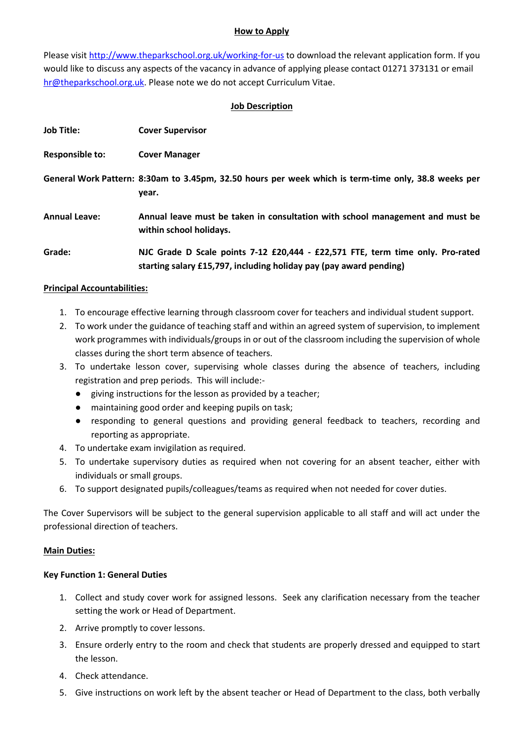## **How to Apply**

Please visit<http://www.theparkschool.org.uk/working-for-us> to download the relevant application form. If you would like to discuss any aspects of the vacancy in advance of applying please contact 01271 373131 or email [hr@theparkschool.org.uk.](mailto:hr@theparkschool.org.uk) Please note we do not accept Curriculum Vitae.

# **Job Description**

| <b>Job Title:</b>      | <b>Cover Supervisor</b>                                                                                                                              |
|------------------------|------------------------------------------------------------------------------------------------------------------------------------------------------|
| <b>Responsible to:</b> | <b>Cover Manager</b>                                                                                                                                 |
|                        | General Work Pattern: 8:30am to 3.45pm, 32.50 hours per week which is term-time only, 38.8 weeks per<br>year.                                        |
| <b>Annual Leave:</b>   | Annual leave must be taken in consultation with school management and must be<br>within school holidays.                                             |
| Grade:                 | NJC Grade D Scale points 7-12 £20,444 - £22,571 FTE, term time only. Pro-rated<br>starting salary £15,797, including holiday pay (pay award pending) |

## **Principal Accountabilities:**

- 1. To encourage effective learning through classroom cover for teachers and individual student support.
- 2. To work under the guidance of teaching staff and within an agreed system of supervision, to implement work programmes with individuals/groups in or out of the classroom including the supervision of whole classes during the short term absence of teachers.
- 3. To undertake lesson cover, supervising whole classes during the absence of teachers, including registration and prep periods. This will include:-
	- giving instructions for the lesson as provided by a teacher;
	- maintaining good order and keeping pupils on task;
	- responding to general questions and providing general feedback to teachers, recording and reporting as appropriate.
- 4. To undertake exam invigilation as required.
- 5. To undertake supervisory duties as required when not covering for an absent teacher, either with individuals or small groups.
- 6. To support designated pupils/colleagues/teams as required when not needed for cover duties.

The Cover Supervisors will be subject to the general supervision applicable to all staff and will act under the professional direction of teachers.

#### **Main Duties:**

#### **Key Function 1: General Duties**

- 1. Collect and study cover work for assigned lessons. Seek any clarification necessary from the teacher setting the work or Head of Department.
- 2. Arrive promptly to cover lessons.
- 3. Ensure orderly entry to the room and check that students are properly dressed and equipped to start the lesson.
- 4. Check attendance.
- 5. Give instructions on work left by the absent teacher or Head of Department to the class, both verbally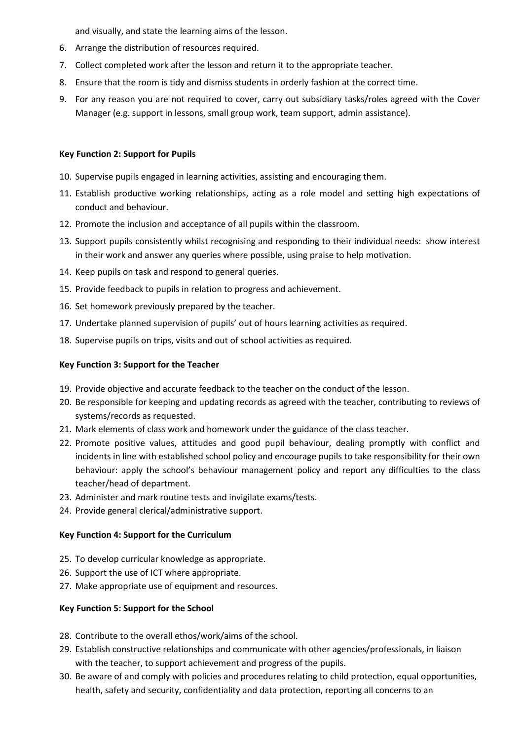and visually, and state the learning aims of the lesson.

- 6. Arrange the distribution of resources required.
- 7. Collect completed work after the lesson and return it to the appropriate teacher.
- 8. Ensure that the room is tidy and dismiss students in orderly fashion at the correct time.
- 9. For any reason you are not required to cover, carry out subsidiary tasks/roles agreed with the Cover Manager (e.g. support in lessons, small group work, team support, admin assistance).

### **Key Function 2: Support for Pupils**

- 10. Supervise pupils engaged in learning activities, assisting and encouraging them.
- 11. Establish productive working relationships, acting as a role model and setting high expectations of conduct and behaviour.
- 12. Promote the inclusion and acceptance of all pupils within the classroom.
- 13. Support pupils consistently whilst recognising and responding to their individual needs: show interest in their work and answer any queries where possible, using praise to help motivation.
- 14. Keep pupils on task and respond to general queries.
- 15. Provide feedback to pupils in relation to progress and achievement.
- 16. Set homework previously prepared by the teacher.
- 17. Undertake planned supervision of pupils' out of hours learning activities as required.
- 18. Supervise pupils on trips, visits and out of school activities as required.

## **Key Function 3: Support for the Teacher**

- 19. Provide objective and accurate feedback to the teacher on the conduct of the lesson.
- 20. Be responsible for keeping and updating records as agreed with the teacher, contributing to reviews of systems/records as requested.
- 21. Mark elements of class work and homework under the guidance of the class teacher.
- 22. Promote positive values, attitudes and good pupil behaviour, dealing promptly with conflict and incidents in line with established school policy and encourage pupils to take responsibility for their own behaviour: apply the school's behaviour management policy and report any difficulties to the class teacher/head of department.
- 23. Administer and mark routine tests and invigilate exams/tests.
- 24. Provide general clerical/administrative support.

#### **Key Function 4: Support for the Curriculum**

- 25. To develop curricular knowledge as appropriate.
- 26. Support the use of ICT where appropriate.
- 27. Make appropriate use of equipment and resources.

#### **Key Function 5: Support for the School**

- 28. Contribute to the overall ethos/work/aims of the school.
- 29. Establish constructive relationships and communicate with other agencies/professionals, in liaison with the teacher, to support achievement and progress of the pupils.
- 30. Be aware of and comply with policies and procedures relating to child protection, equal opportunities, health, safety and security, confidentiality and data protection, reporting all concerns to an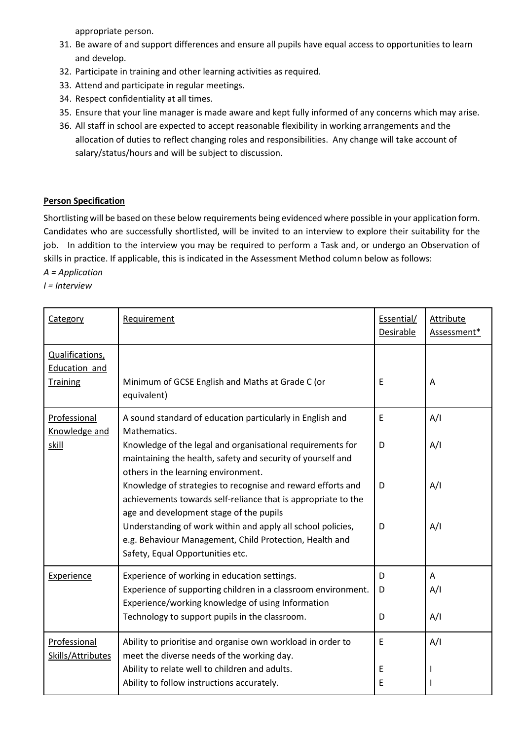appropriate person.

- 31. Be aware of and support differences and ensure all pupils have equal access to opportunities to learn and develop.
- 32. Participate in training and other learning activities as required.
- 33. Attend and participate in regular meetings.
- 34. Respect confidentiality at all times.
- 35. Ensure that your line manager is made aware and kept fully informed of any concerns which may arise.
- 36. All staff in school are expected to accept reasonable flexibility in working arrangements and the allocation of duties to reflect changing roles and responsibilities. Any change will take account of salary/status/hours and will be subject to discussion.

# **Person Specification**

Shortlisting will be based on these below requirements being evidenced where possible in your application form. Candidates who are successfully shortlisted, will be invited to an interview to explore their suitability for the job. In addition to the interview you may be required to perform a Task and, or undergo an Observation of skills in practice. If applicable, this is indicated in the Assessment Method column below as follows:

*A = Application*

*I = Interview*

| Category                                            | Requirement                                                                                                                                                             | Essential/<br>Desirable | <b>Attribute</b><br>Assessment* |
|-----------------------------------------------------|-------------------------------------------------------------------------------------------------------------------------------------------------------------------------|-------------------------|---------------------------------|
| Qualifications,<br>Education and<br><b>Training</b> | Minimum of GCSE English and Maths at Grade C (or<br>equivalent)                                                                                                         | E                       | A                               |
| Professional<br>Knowledge and<br>skill              | A sound standard of education particularly in English and<br>Mathematics.                                                                                               | E                       | A/I                             |
|                                                     | Knowledge of the legal and organisational requirements for<br>maintaining the health, safety and security of yourself and<br>others in the learning environment.        | D                       | A/I                             |
|                                                     | Knowledge of strategies to recognise and reward efforts and<br>achievements towards self-reliance that is appropriate to the<br>age and development stage of the pupils | D                       | A/I                             |
|                                                     | Understanding of work within and apply all school policies,<br>e.g. Behaviour Management, Child Protection, Health and<br>Safety, Equal Opportunities etc.              | D                       | A/I                             |
| Experience                                          | Experience of working in education settings.                                                                                                                            | D                       | A                               |
|                                                     | Experience of supporting children in a classroom environment.<br>Experience/working knowledge of using Information                                                      | D                       | A/I                             |
|                                                     | Technology to support pupils in the classroom.                                                                                                                          | D                       | A/I                             |
| Professional<br>Skills/Attributes                   | Ability to prioritise and organise own workload in order to<br>meet the diverse needs of the working day.                                                               | E                       | A/I                             |
|                                                     | Ability to relate well to children and adults.<br>Ability to follow instructions accurately.                                                                            | E<br>E                  |                                 |
|                                                     |                                                                                                                                                                         |                         |                                 |